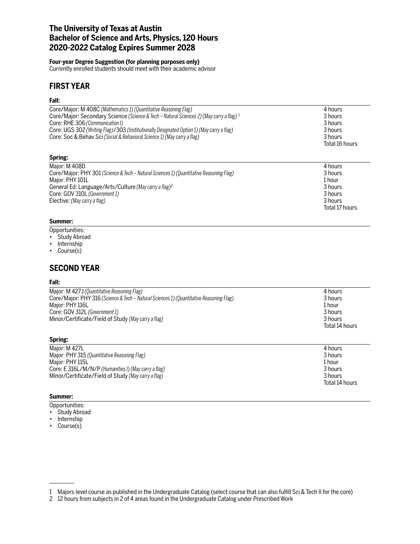# **The University of Texas at Austin Bachelor of Science and Arts, Physics, 120 Hours 2020-2022 Catalog Expires Summer 2028**

### **Four-year Degree Suggestion (for planning purposes only)**

Currently enrolled students should meet with their academic advisor

# **FIRST YEAR**

## **Fall:**

| Core/Major: M 408C (Mathematics 1) (Quantitative Reasoning Flag)<br>Core/Major: Secondary Science (Science & Tech - Natural Sciences 2) (May carry a flag) <sup>1</sup><br>Core: RHE 306 (Communication I)<br>Core: UGS 302 (Writing Flag)/303 (Institutionally Designated Option 1) (May carry a flag)<br>Core: Soc & Behav Sci (Social & Behavioral Science 1) (May carry a flag) | 4 hours<br>3 hours<br>3 hours<br>3 hours<br>3 hours<br>Total 16 hours           |
|-------------------------------------------------------------------------------------------------------------------------------------------------------------------------------------------------------------------------------------------------------------------------------------------------------------------------------------------------------------------------------------|---------------------------------------------------------------------------------|
| Spring:                                                                                                                                                                                                                                                                                                                                                                             |                                                                                 |
| Major: M 408D<br>Core/Major: PHY 301 (Science & Tech – Natural Sciences 1) (Quantitative Reasoning Flag)<br>Major: PHY 101L<br>General Ed: Language/Arts/Culture (May carry a flag) <sup>2</sup><br>Core: GOV 310L (Government 1)<br>Elective: (May carry a flag)                                                                                                                   | 4 hours<br>3 hours<br>1 hour<br>3 hours<br>3 hours<br>3 hours<br>Total 17 hours |
|                                                                                                                                                                                                                                                                                                                                                                                     |                                                                                 |

### **Summer:**

Opportunities:

- Study Abroad
- Internship
- Course(s)

# **SECOND YEAR**

### **Fall:**

| Major: M 427J (Quantitative Reasoning Flag)                                             | 4 hours        |
|-----------------------------------------------------------------------------------------|----------------|
| Core/Major: PHY 316 (Science & Tech – Natural Sciences 1) (Quantitative Reasoning Flag) | 3 hours        |
| Major: PHY 116L                                                                         | 1 hour         |
| Core: GOV 312L (Government 1)                                                           | 3 hours        |
| Minor/Certificate/Field of Study (May carry a flag)                                     | 3 hours        |
|                                                                                         | Total 14 hours |
|                                                                                         |                |

| Major: M 427L                                        | 4 hours        |
|------------------------------------------------------|----------------|
| Major: PHY 315 (Quantitative Reasoning Flag)         | 3 hours        |
| Major: PHY 115L                                      | 1 hour         |
| Core: E 316L/M/N/P (Humanities I) (May carry a flag) | 3 hours        |
| Minor/Certificate/Field of Study (May carry a flag)  | 3 hours        |
|                                                      | Total 14 hours |

## **Summer:**

**Spring:**

- Opportunities:
- Study Abroad
- Internship
- Course(s)

<sup>1</sup> Majors-level course as published in the Undergraduate Catalog (select course that can also fulfill Sci & Tech II for the core)

<sup>2</sup> 12 hours from subjects in 2 of 4 areas found in the Undergraduate Catalog under Prescribed Work